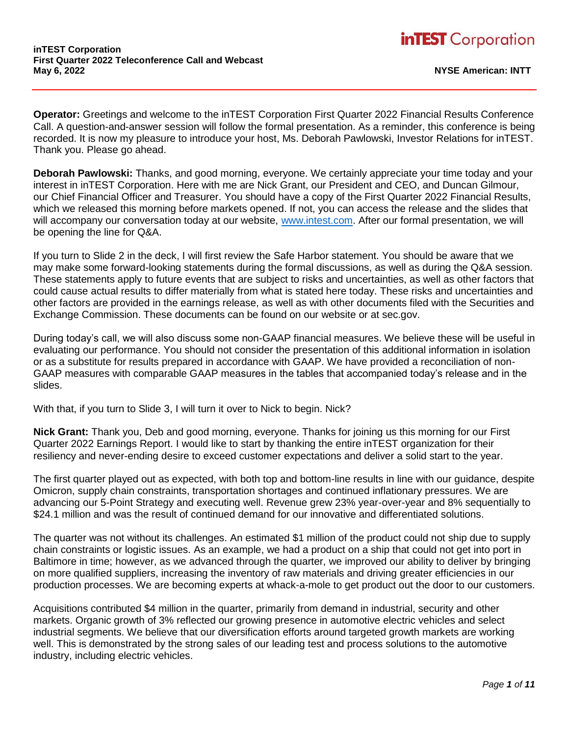**Operator:** Greetings and welcome to the inTEST Corporation First Quarter 2022 Financial Results Conference Call. A question-and-answer session will follow the formal presentation. As a reminder, this conference is being recorded. It is now my pleasure to introduce your host, Ms. Deborah Pawlowski, Investor Relations for inTEST. Thank you. Please go ahead.

**Deborah Pawlowski:** Thanks, and good morning, everyone. We certainly appreciate your time today and your interest in inTEST Corporation. Here with me are Nick Grant, our President and CEO, and Duncan Gilmour, our Chief Financial Officer and Treasurer. You should have a copy of the First Quarter 2022 Financial Results, which we released this morning before markets opened. If not, you can access the release and the slides that will accompany our conversation today at our website, [www.intest.com.](https://www.intest.com/) After our formal presentation, we will be opening the line for Q&A.

If you turn to Slide 2 in the deck, I will first review the Safe Harbor statement. You should be aware that we may make some forward-looking statements during the formal discussions, as well as during the Q&A session. These statements apply to future events that are subject to risks and uncertainties, as well as other factors that could cause actual results to differ materially from what is stated here today. These risks and uncertainties and other factors are provided in the earnings release, as well as with other documents filed with the Securities and Exchange Commission. These documents can be found on our website or at sec.gov.

During today's call, we will also discuss some non-GAAP financial measures. We believe these will be useful in evaluating our performance. You should not consider the presentation of this additional information in isolation or as a substitute for results prepared in accordance with GAAP. We have provided a reconciliation of non-GAAP measures with comparable GAAP measures in the tables that accompanied today's release and in the slides.

With that, if you turn to Slide 3, I will turn it over to Nick to begin. Nick?

**Nick Grant:** Thank you, Deb and good morning, everyone. Thanks for joining us this morning for our First Quarter 2022 Earnings Report. I would like to start by thanking the entire inTEST organization for their resiliency and never-ending desire to exceed customer expectations and deliver a solid start to the year.

The first quarter played out as expected, with both top and bottom-line results in line with our guidance, despite Omicron, supply chain constraints, transportation shortages and continued inflationary pressures. We are advancing our 5-Point Strategy and executing well. Revenue grew 23% year-over-year and 8% sequentially to \$24.1 million and was the result of continued demand for our innovative and differentiated solutions.

The quarter was not without its challenges. An estimated \$1 million of the product could not ship due to supply chain constraints or logistic issues. As an example, we had a product on a ship that could not get into port in Baltimore in time; however, as we advanced through the quarter, we improved our ability to deliver by bringing on more qualified suppliers, increasing the inventory of raw materials and driving greater efficiencies in our production processes. We are becoming experts at whack-a-mole to get product out the door to our customers.

Acquisitions contributed \$4 million in the quarter, primarily from demand in industrial, security and other markets. Organic growth of 3% reflected our growing presence in automotive electric vehicles and select industrial segments. We believe that our diversification efforts around targeted growth markets are working well. This is demonstrated by the strong sales of our leading test and process solutions to the automotive industry, including electric vehicles.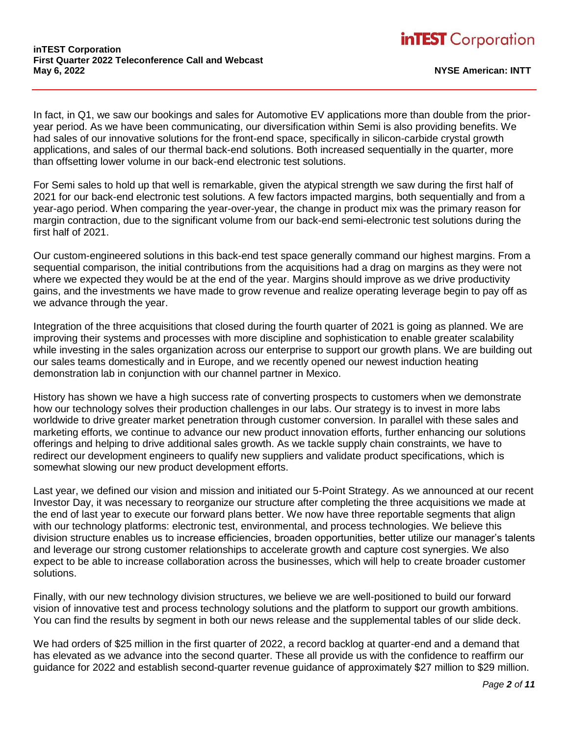In fact, in Q1, we saw our bookings and sales for Automotive EV applications more than double from the prioryear period. As we have been communicating, our diversification within Semi is also providing benefits. We had sales of our innovative solutions for the front-end space, specifically in silicon-carbide crystal growth applications, and sales of our thermal back-end solutions. Both increased sequentially in the quarter, more than offsetting lower volume in our back-end electronic test solutions.

For Semi sales to hold up that well is remarkable, given the atypical strength we saw during the first half of 2021 for our back-end electronic test solutions. A few factors impacted margins, both sequentially and from a year-ago period. When comparing the year-over-year, the change in product mix was the primary reason for margin contraction, due to the significant volume from our back-end semi-electronic test solutions during the first half of 2021.

Our custom-engineered solutions in this back-end test space generally command our highest margins. From a sequential comparison, the initial contributions from the acquisitions had a drag on margins as they were not where we expected they would be at the end of the year. Margins should improve as we drive productivity gains, and the investments we have made to grow revenue and realize operating leverage begin to pay off as we advance through the year.

Integration of the three acquisitions that closed during the fourth quarter of 2021 is going as planned. We are improving their systems and processes with more discipline and sophistication to enable greater scalability while investing in the sales organization across our enterprise to support our growth plans. We are building out our sales teams domestically and in Europe, and we recently opened our newest induction heating demonstration lab in conjunction with our channel partner in Mexico.

History has shown we have a high success rate of converting prospects to customers when we demonstrate how our technology solves their production challenges in our labs. Our strategy is to invest in more labs worldwide to drive greater market penetration through customer conversion. In parallel with these sales and marketing efforts, we continue to advance our new product innovation efforts, further enhancing our solutions offerings and helping to drive additional sales growth. As we tackle supply chain constraints, we have to redirect our development engineers to qualify new suppliers and validate product specifications, which is somewhat slowing our new product development efforts.

Last year, we defined our vision and mission and initiated our 5-Point Strategy. As we announced at our recent Investor Day, it was necessary to reorganize our structure after completing the three acquisitions we made at the end of last year to execute our forward plans better. We now have three reportable segments that align with our technology platforms: electronic test, environmental, and process technologies. We believe this division structure enables us to increase efficiencies, broaden opportunities, better utilize our manager's talents and leverage our strong customer relationships to accelerate growth and capture cost synergies. We also expect to be able to increase collaboration across the businesses, which will help to create broader customer solutions.

Finally, with our new technology division structures, we believe we are well-positioned to build our forward vision of innovative test and process technology solutions and the platform to support our growth ambitions. You can find the results by segment in both our news release and the supplemental tables of our slide deck.

We had orders of \$25 million in the first quarter of 2022, a record backlog at quarter-end and a demand that has elevated as we advance into the second quarter. These all provide us with the confidence to reaffirm our guidance for 2022 and establish second-quarter revenue guidance of approximately \$27 million to \$29 million.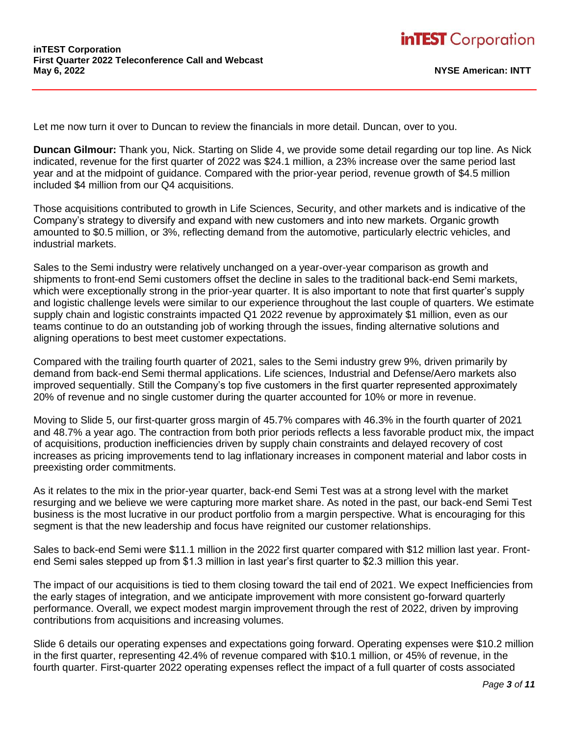Let me now turn it over to Duncan to review the financials in more detail. Duncan, over to you.

**Duncan Gilmour:** Thank you, Nick. Starting on Slide 4, we provide some detail regarding our top line. As Nick indicated, revenue for the first quarter of 2022 was \$24.1 million, a 23% increase over the same period last year and at the midpoint of guidance. Compared with the prior-year period, revenue growth of \$4.5 million included \$4 million from our Q4 acquisitions.

Those acquisitions contributed to growth in Life Sciences, Security, and other markets and is indicative of the Company's strategy to diversify and expand with new customers and into new markets. Organic growth amounted to \$0.5 million, or 3%, reflecting demand from the automotive, particularly electric vehicles, and industrial markets.

Sales to the Semi industry were relatively unchanged on a year-over-year comparison as growth and shipments to front-end Semi customers offset the decline in sales to the traditional back-end Semi markets, which were exceptionally strong in the prior-year quarter. It is also important to note that first quarter's supply and logistic challenge levels were similar to our experience throughout the last couple of quarters. We estimate supply chain and logistic constraints impacted Q1 2022 revenue by approximately \$1 million, even as our teams continue to do an outstanding job of working through the issues, finding alternative solutions and aligning operations to best meet customer expectations.

Compared with the trailing fourth quarter of 2021, sales to the Semi industry grew 9%, driven primarily by demand from back-end Semi thermal applications. Life sciences, Industrial and Defense/Aero markets also improved sequentially. Still the Company's top five customers in the first quarter represented approximately 20% of revenue and no single customer during the quarter accounted for 10% or more in revenue.

Moving to Slide 5, our first-quarter gross margin of 45.7% compares with 46.3% in the fourth quarter of 2021 and 48.7% a year ago. The contraction from both prior periods reflects a less favorable product mix, the impact of acquisitions, production inefficiencies driven by supply chain constraints and delayed recovery of cost increases as pricing improvements tend to lag inflationary increases in component material and labor costs in preexisting order commitments.

As it relates to the mix in the prior-year quarter, back-end Semi Test was at a strong level with the market resurging and we believe we were capturing more market share. As noted in the past, our back-end Semi Test business is the most lucrative in our product portfolio from a margin perspective. What is encouraging for this segment is that the new leadership and focus have reignited our customer relationships.

Sales to back-end Semi were \$11.1 million in the 2022 first quarter compared with \$12 million last year. Frontend Semi sales stepped up from \$1.3 million in last year's first quarter to \$2.3 million this year.

The impact of our acquisitions is tied to them closing toward the tail end of 2021. We expect Inefficiencies from the early stages of integration, and we anticipate improvement with more consistent go-forward quarterly performance. Overall, we expect modest margin improvement through the rest of 2022, driven by improving contributions from acquisitions and increasing volumes.

Slide 6 details our operating expenses and expectations going forward. Operating expenses were \$10.2 million in the first quarter, representing 42.4% of revenue compared with \$10.1 million, or 45% of revenue, in the fourth quarter. First-quarter 2022 operating expenses reflect the impact of a full quarter of costs associated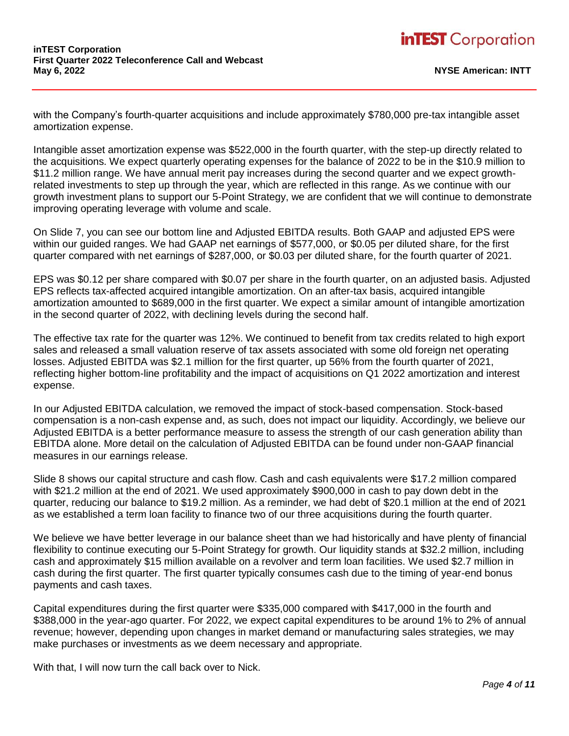with the Company's fourth-quarter acquisitions and include approximately \$780,000 pre-tax intangible asset amortization expense.

Intangible asset amortization expense was \$522,000 in the fourth quarter, with the step-up directly related to the acquisitions. We expect quarterly operating expenses for the balance of 2022 to be in the \$10.9 million to \$11.2 million range. We have annual merit pay increases during the second quarter and we expect growthrelated investments to step up through the year, which are reflected in this range. As we continue with our growth investment plans to support our 5-Point Strategy, we are confident that we will continue to demonstrate improving operating leverage with volume and scale.

On Slide 7, you can see our bottom line and Adjusted EBITDA results. Both GAAP and adjusted EPS were within our guided ranges. We had GAAP net earnings of \$577,000, or \$0.05 per diluted share, for the first quarter compared with net earnings of \$287,000, or \$0.03 per diluted share, for the fourth quarter of 2021.

EPS was \$0.12 per share compared with \$0.07 per share in the fourth quarter, on an adjusted basis. Adjusted EPS reflects tax-affected acquired intangible amortization. On an after-tax basis, acquired intangible amortization amounted to \$689,000 in the first quarter. We expect a similar amount of intangible amortization in the second quarter of 2022, with declining levels during the second half.

The effective tax rate for the quarter was 12%. We continued to benefit from tax credits related to high export sales and released a small valuation reserve of tax assets associated with some old foreign net operating losses. Adjusted EBITDA was \$2.1 million for the first quarter, up 56% from the fourth quarter of 2021, reflecting higher bottom-line profitability and the impact of acquisitions on Q1 2022 amortization and interest expense.

In our Adjusted EBITDA calculation, we removed the impact of stock-based compensation. Stock-based compensation is a non-cash expense and, as such, does not impact our liquidity. Accordingly, we believe our Adjusted EBITDA is a better performance measure to assess the strength of our cash generation ability than EBITDA alone. More detail on the calculation of Adjusted EBITDA can be found under non-GAAP financial measures in our earnings release.

Slide 8 shows our capital structure and cash flow. Cash and cash equivalents were \$17.2 million compared with \$21.2 million at the end of 2021. We used approximately \$900,000 in cash to pay down debt in the quarter, reducing our balance to \$19.2 million. As a reminder, we had debt of \$20.1 million at the end of 2021 as we established a term loan facility to finance two of our three acquisitions during the fourth quarter.

We believe we have better leverage in our balance sheet than we had historically and have plenty of financial flexibility to continue executing our 5-Point Strategy for growth. Our liquidity stands at \$32.2 million, including cash and approximately \$15 million available on a revolver and term loan facilities. We used \$2.7 million in cash during the first quarter. The first quarter typically consumes cash due to the timing of year-end bonus payments and cash taxes.

Capital expenditures during the first quarter were \$335,000 compared with \$417,000 in the fourth and \$388,000 in the year-ago quarter. For 2022, we expect capital expenditures to be around 1% to 2% of annual revenue; however, depending upon changes in market demand or manufacturing sales strategies, we may make purchases or investments as we deem necessary and appropriate.

With that, I will now turn the call back over to Nick.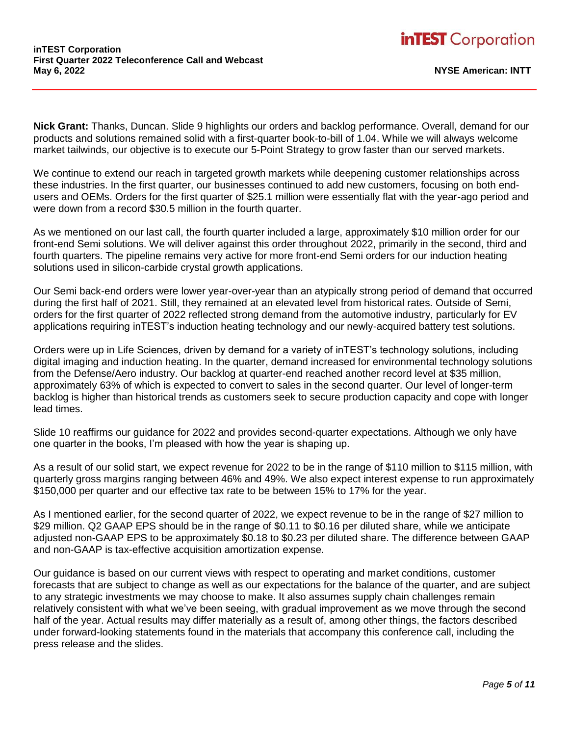**Nick Grant:** Thanks, Duncan. Slide 9 highlights our orders and backlog performance. Overall, demand for our products and solutions remained solid with a first-quarter book-to-bill of 1.04. While we will always welcome market tailwinds, our objective is to execute our 5-Point Strategy to grow faster than our served markets.

We continue to extend our reach in targeted growth markets while deepening customer relationships across these industries. In the first quarter, our businesses continued to add new customers, focusing on both endusers and OEMs. Orders for the first quarter of \$25.1 million were essentially flat with the year-ago period and were down from a record \$30.5 million in the fourth quarter.

As we mentioned on our last call, the fourth quarter included a large, approximately \$10 million order for our front-end Semi solutions. We will deliver against this order throughout 2022, primarily in the second, third and fourth quarters. The pipeline remains very active for more front-end Semi orders for our induction heating solutions used in silicon-carbide crystal growth applications.

Our Semi back-end orders were lower year-over-year than an atypically strong period of demand that occurred during the first half of 2021. Still, they remained at an elevated level from historical rates. Outside of Semi, orders for the first quarter of 2022 reflected strong demand from the automotive industry, particularly for EV applications requiring inTEST's induction heating technology and our newly-acquired battery test solutions.

Orders were up in Life Sciences, driven by demand for a variety of inTEST's technology solutions, including digital imaging and induction heating. In the quarter, demand increased for environmental technology solutions from the Defense/Aero industry. Our backlog at quarter-end reached another record level at \$35 million, approximately 63% of which is expected to convert to sales in the second quarter. Our level of longer-term backlog is higher than historical trends as customers seek to secure production capacity and cope with longer lead times.

Slide 10 reaffirms our guidance for 2022 and provides second-quarter expectations. Although we only have one quarter in the books, I'm pleased with how the year is shaping up.

As a result of our solid start, we expect revenue for 2022 to be in the range of \$110 million to \$115 million, with quarterly gross margins ranging between 46% and 49%. We also expect interest expense to run approximately \$150,000 per quarter and our effective tax rate to be between 15% to 17% for the year.

As I mentioned earlier, for the second quarter of 2022, we expect revenue to be in the range of \$27 million to \$29 million. Q2 GAAP EPS should be in the range of \$0.11 to \$0.16 per diluted share, while we anticipate adjusted non-GAAP EPS to be approximately \$0.18 to \$0.23 per diluted share. The difference between GAAP and non-GAAP is tax-effective acquisition amortization expense.

Our guidance is based on our current views with respect to operating and market conditions, customer forecasts that are subject to change as well as our expectations for the balance of the quarter, and are subject to any strategic investments we may choose to make. It also assumes supply chain challenges remain relatively consistent with what we've been seeing, with gradual improvement as we move through the second half of the year. Actual results may differ materially as a result of, among other things, the factors described under forward-looking statements found in the materials that accompany this conference call, including the press release and the slides.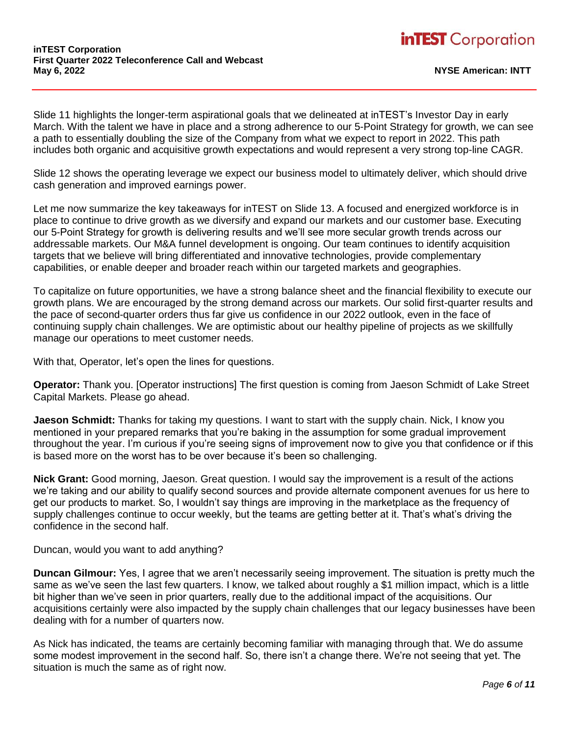Slide 11 highlights the longer-term aspirational goals that we delineated at inTEST's Investor Day in early March. With the talent we have in place and a strong adherence to our 5-Point Strategy for growth, we can see a path to essentially doubling the size of the Company from what we expect to report in 2022. This path includes both organic and acquisitive growth expectations and would represent a very strong top-line CAGR.

Slide 12 shows the operating leverage we expect our business model to ultimately deliver, which should drive cash generation and improved earnings power.

Let me now summarize the key takeaways for inTEST on Slide 13. A focused and energized workforce is in place to continue to drive growth as we diversify and expand our markets and our customer base. Executing our 5-Point Strategy for growth is delivering results and we'll see more secular growth trends across our addressable markets. Our M&A funnel development is ongoing. Our team continues to identify acquisition targets that we believe will bring differentiated and innovative technologies, provide complementary capabilities, or enable deeper and broader reach within our targeted markets and geographies.

To capitalize on future opportunities, we have a strong balance sheet and the financial flexibility to execute our growth plans. We are encouraged by the strong demand across our markets. Our solid first-quarter results and the pace of second-quarter orders thus far give us confidence in our 2022 outlook, even in the face of continuing supply chain challenges. We are optimistic about our healthy pipeline of projects as we skillfully manage our operations to meet customer needs.

With that, Operator, let's open the lines for questions.

**Operator:** Thank you. [Operator instructions] The first question is coming from Jaeson Schmidt of Lake Street Capital Markets. Please go ahead.

**Jaeson Schmidt:** Thanks for taking my questions. I want to start with the supply chain. Nick, I know you mentioned in your prepared remarks that you're baking in the assumption for some gradual improvement throughout the year. I'm curious if you're seeing signs of improvement now to give you that confidence or if this is based more on the worst has to be over because it's been so challenging.

**Nick Grant:** Good morning, Jaeson. Great question. I would say the improvement is a result of the actions we're taking and our ability to qualify second sources and provide alternate component avenues for us here to get our products to market. So, I wouldn't say things are improving in the marketplace as the frequency of supply challenges continue to occur weekly, but the teams are getting better at it. That's what's driving the confidence in the second half.

Duncan, would you want to add anything?

**Duncan Gilmour:** Yes, I agree that we aren't necessarily seeing improvement. The situation is pretty much the same as we've seen the last few quarters. I know, we talked about roughly a \$1 million impact, which is a little bit higher than we've seen in prior quarters, really due to the additional impact of the acquisitions. Our acquisitions certainly were also impacted by the supply chain challenges that our legacy businesses have been dealing with for a number of quarters now.

As Nick has indicated, the teams are certainly becoming familiar with managing through that. We do assume some modest improvement in the second half. So, there isn't a change there. We're not seeing that yet. The situation is much the same as of right now.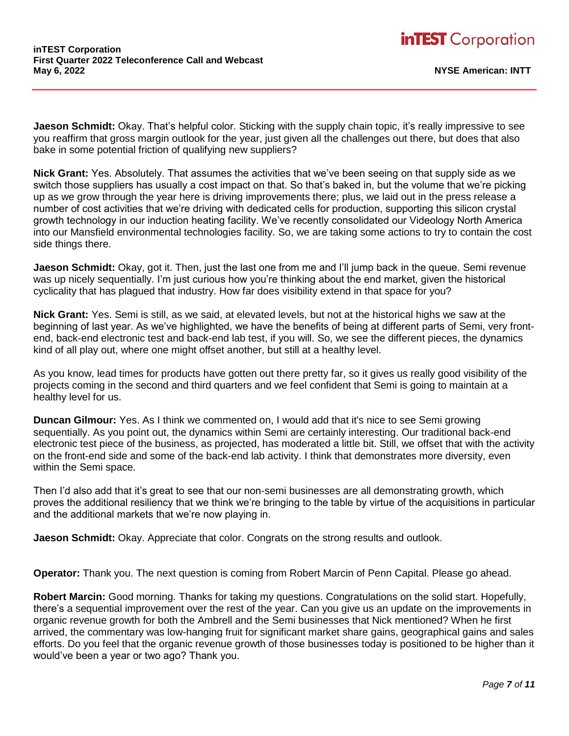**Jaeson Schmidt:** Okay. That's helpful color. Sticking with the supply chain topic, it's really impressive to see you reaffirm that gross margin outlook for the year, just given all the challenges out there, but does that also bake in some potential friction of qualifying new suppliers?

**Nick Grant:** Yes. Absolutely. That assumes the activities that we've been seeing on that supply side as we switch those suppliers has usually a cost impact on that. So that's baked in, but the volume that we're picking up as we grow through the year here is driving improvements there; plus, we laid out in the press release a number of cost activities that we're driving with dedicated cells for production, supporting this silicon crystal growth technology in our induction heating facility. We've recently consolidated our Videology North America into our Mansfield environmental technologies facility. So, we are taking some actions to try to contain the cost side things there.

**Jaeson Schmidt:** Okay, got it. Then, just the last one from me and I'll jump back in the queue. Semi revenue was up nicely sequentially. I'm just curious how you're thinking about the end market, given the historical cyclicality that has plagued that industry. How far does visibility extend in that space for you?

**Nick Grant:** Yes. Semi is still, as we said, at elevated levels, but not at the historical highs we saw at the beginning of last year. As we've highlighted, we have the benefits of being at different parts of Semi, very frontend, back-end electronic test and back-end lab test, if you will. So, we see the different pieces, the dynamics kind of all play out, where one might offset another, but still at a healthy level.

As you know, lead times for products have gotten out there pretty far, so it gives us really good visibility of the projects coming in the second and third quarters and we feel confident that Semi is going to maintain at a healthy level for us.

**Duncan Gilmour:** Yes. As I think we commented on, I would add that it's nice to see Semi growing sequentially. As you point out, the dynamics within Semi are certainly interesting. Our traditional back-end electronic test piece of the business, as projected, has moderated a little bit. Still, we offset that with the activity on the front-end side and some of the back-end lab activity. I think that demonstrates more diversity, even within the Semi space.

Then I'd also add that it's great to see that our non-semi businesses are all demonstrating growth, which proves the additional resiliency that we think we're bringing to the table by virtue of the acquisitions in particular and the additional markets that we're now playing in.

**Jaeson Schmidt:** Okay. Appreciate that color. Congrats on the strong results and outlook.

**Operator:** Thank you. The next question is coming from Robert Marcin of Penn Capital. Please go ahead.

**Robert Marcin:** Good morning. Thanks for taking my questions. Congratulations on the solid start. Hopefully, there's a sequential improvement over the rest of the year. Can you give us an update on the improvements in organic revenue growth for both the Ambrell and the Semi businesses that Nick mentioned? When he first arrived, the commentary was low-hanging fruit for significant market share gains, geographical gains and sales efforts. Do you feel that the organic revenue growth of those businesses today is positioned to be higher than it would've been a year or two ago? Thank you.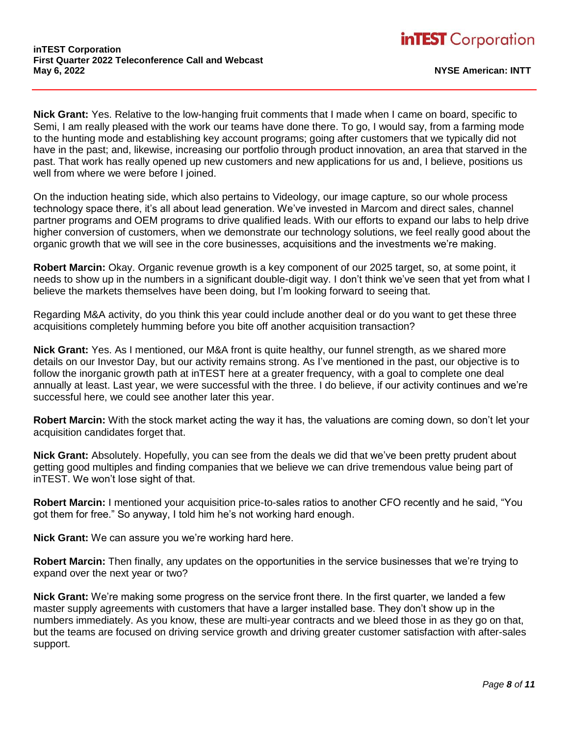**Nick Grant:** Yes. Relative to the low-hanging fruit comments that I made when I came on board, specific to Semi, I am really pleased with the work our teams have done there. To go, I would say, from a farming mode to the hunting mode and establishing key account programs; going after customers that we typically did not have in the past; and, likewise, increasing our portfolio through product innovation, an area that starved in the past. That work has really opened up new customers and new applications for us and, I believe, positions us well from where we were before I joined.

On the induction heating side, which also pertains to Videology, our image capture, so our whole process technology space there, it's all about lead generation. We've invested in Marcom and direct sales, channel partner programs and OEM programs to drive qualified leads. With our efforts to expand our labs to help drive higher conversion of customers, when we demonstrate our technology solutions, we feel really good about the organic growth that we will see in the core businesses, acquisitions and the investments we're making.

**Robert Marcin:** Okay. Organic revenue growth is a key component of our 2025 target, so, at some point, it needs to show up in the numbers in a significant double-digit way. I don't think we've seen that yet from what I believe the markets themselves have been doing, but I'm looking forward to seeing that.

Regarding M&A activity, do you think this year could include another deal or do you want to get these three acquisitions completely humming before you bite off another acquisition transaction?

**Nick Grant:** Yes. As I mentioned, our M&A front is quite healthy, our funnel strength, as we shared more details on our Investor Day, but our activity remains strong. As I've mentioned in the past, our objective is to follow the inorganic growth path at inTEST here at a greater frequency, with a goal to complete one deal annually at least. Last year, we were successful with the three. I do believe, if our activity continues and we're successful here, we could see another later this year.

**Robert Marcin:** With the stock market acting the way it has, the valuations are coming down, so don't let your acquisition candidates forget that.

**Nick Grant:** Absolutely. Hopefully, you can see from the deals we did that we've been pretty prudent about getting good multiples and finding companies that we believe we can drive tremendous value being part of inTEST. We won't lose sight of that.

**Robert Marcin:** I mentioned your acquisition price-to-sales ratios to another CFO recently and he said, "You got them for free." So anyway, I told him he's not working hard enough.

**Nick Grant:** We can assure you we're working hard here.

**Robert Marcin:** Then finally, any updates on the opportunities in the service businesses that we're trying to expand over the next year or two?

**Nick Grant:** We're making some progress on the service front there. In the first quarter, we landed a few master supply agreements with customers that have a larger installed base. They don't show up in the numbers immediately. As you know, these are multi-year contracts and we bleed those in as they go on that, but the teams are focused on driving service growth and driving greater customer satisfaction with after-sales support.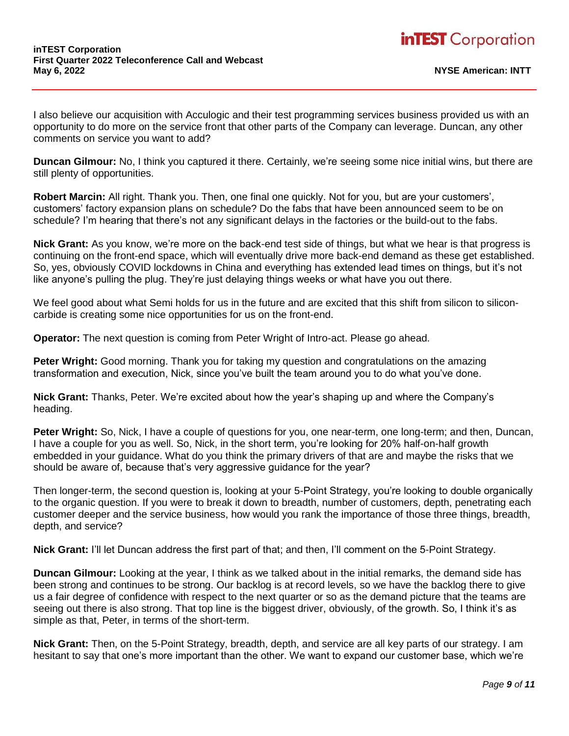I also believe our acquisition with Acculogic and their test programming services business provided us with an opportunity to do more on the service front that other parts of the Company can leverage. Duncan, any other comments on service you want to add?

**Duncan Gilmour:** No, I think you captured it there. Certainly, we're seeing some nice initial wins, but there are still plenty of opportunities.

**Robert Marcin:** All right. Thank you. Then, one final one quickly. Not for you, but are your customers', customers' factory expansion plans on schedule? Do the fabs that have been announced seem to be on schedule? I'm hearing that there's not any significant delays in the factories or the build-out to the fabs.

**Nick Grant:** As you know, we're more on the back-end test side of things, but what we hear is that progress is continuing on the front-end space, which will eventually drive more back-end demand as these get established. So, yes, obviously COVID lockdowns in China and everything has extended lead times on things, but it's not like anyone's pulling the plug. They're just delaying things weeks or what have you out there.

We feel good about what Semi holds for us in the future and are excited that this shift from silicon to siliconcarbide is creating some nice opportunities for us on the front-end.

**Operator:** The next question is coming from Peter Wright of Intro-act. Please go ahead.

**Peter Wright:** Good morning. Thank you for taking my question and congratulations on the amazing transformation and execution, Nick, since you've built the team around you to do what you've done.

**Nick Grant:** Thanks, Peter. We're excited about how the year's shaping up and where the Company's heading.

**Peter Wright:** So, Nick, I have a couple of questions for you, one near-term, one long-term; and then, Duncan, I have a couple for you as well. So, Nick, in the short term, you're looking for 20% half-on-half growth embedded in your guidance. What do you think the primary drivers of that are and maybe the risks that we should be aware of, because that's very aggressive guidance for the year?

Then longer-term, the second question is, looking at your 5-Point Strategy, you're looking to double organically to the organic question. If you were to break it down to breadth, number of customers, depth, penetrating each customer deeper and the service business, how would you rank the importance of those three things, breadth, depth, and service?

**Nick Grant:** I'll let Duncan address the first part of that; and then, I'll comment on the 5-Point Strategy.

**Duncan Gilmour:** Looking at the year, I think as we talked about in the initial remarks, the demand side has been strong and continues to be strong. Our backlog is at record levels, so we have the backlog there to give us a fair degree of confidence with respect to the next quarter or so as the demand picture that the teams are seeing out there is also strong. That top line is the biggest driver, obviously, of the growth. So, I think it's as simple as that, Peter, in terms of the short-term.

**Nick Grant:** Then, on the 5-Point Strategy, breadth, depth, and service are all key parts of our strategy. I am hesitant to say that one's more important than the other. We want to expand our customer base, which we're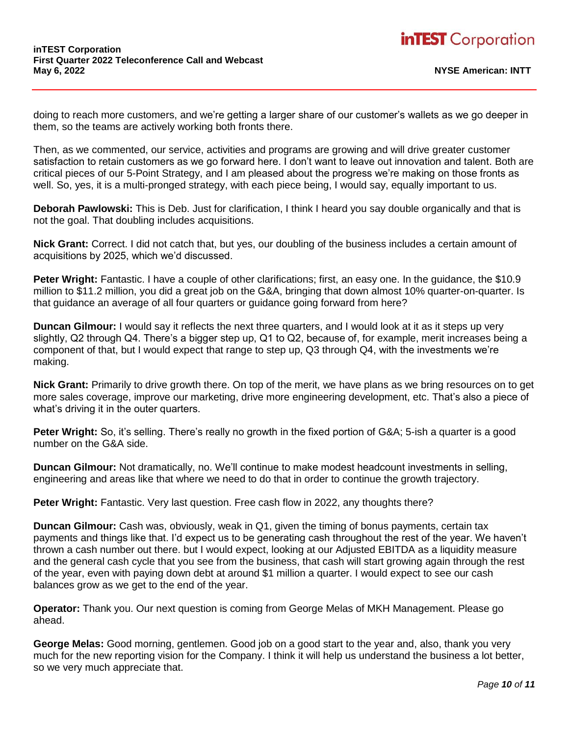doing to reach more customers, and we're getting a larger share of our customer's wallets as we go deeper in them, so the teams are actively working both fronts there.

Then, as we commented, our service, activities and programs are growing and will drive greater customer satisfaction to retain customers as we go forward here. I don't want to leave out innovation and talent. Both are critical pieces of our 5-Point Strategy, and I am pleased about the progress we're making on those fronts as well. So, yes, it is a multi-pronged strategy, with each piece being, I would say, equally important to us.

**Deborah Pawlowski:** This is Deb. Just for clarification, I think I heard you say double organically and that is not the goal. That doubling includes acquisitions.

**Nick Grant:** Correct. I did not catch that, but yes, our doubling of the business includes a certain amount of acquisitions by 2025, which we'd discussed.

**Peter Wright:** Fantastic. I have a couple of other clarifications; first, an easy one. In the guidance, the \$10.9 million to \$11.2 million, you did a great job on the G&A, bringing that down almost 10% quarter-on-quarter. Is that guidance an average of all four quarters or guidance going forward from here?

**Duncan Gilmour:** I would say it reflects the next three quarters, and I would look at it as it steps up very slightly, Q2 through Q4. There's a bigger step up, Q1 to Q2, because of, for example, merit increases being a component of that, but I would expect that range to step up, Q3 through Q4, with the investments we're making.

**Nick Grant:** Primarily to drive growth there. On top of the merit, we have plans as we bring resources on to get more sales coverage, improve our marketing, drive more engineering development, etc. That's also a piece of what's driving it in the outer quarters.

**Peter Wright:** So, it's selling. There's really no growth in the fixed portion of G&A; 5-ish a quarter is a good number on the G&A side.

**Duncan Gilmour:** Not dramatically, no. We'll continue to make modest headcount investments in selling, engineering and areas like that where we need to do that in order to continue the growth trajectory.

**Peter Wright:** Fantastic. Very last question. Free cash flow in 2022, any thoughts there?

**Duncan Gilmour:** Cash was, obviously, weak in Q1, given the timing of bonus payments, certain tax payments and things like that. I'd expect us to be generating cash throughout the rest of the year. We haven't thrown a cash number out there. but I would expect, looking at our Adjusted EBITDA as a liquidity measure and the general cash cycle that you see from the business, that cash will start growing again through the rest of the year, even with paying down debt at around \$1 million a quarter. I would expect to see our cash balances grow as we get to the end of the year.

**Operator:** Thank you. Our next question is coming from George Melas of MKH Management. Please go ahead.

**George Melas:** Good morning, gentlemen. Good job on a good start to the year and, also, thank you very much for the new reporting vision for the Company. I think it will help us understand the business a lot better, so we very much appreciate that.